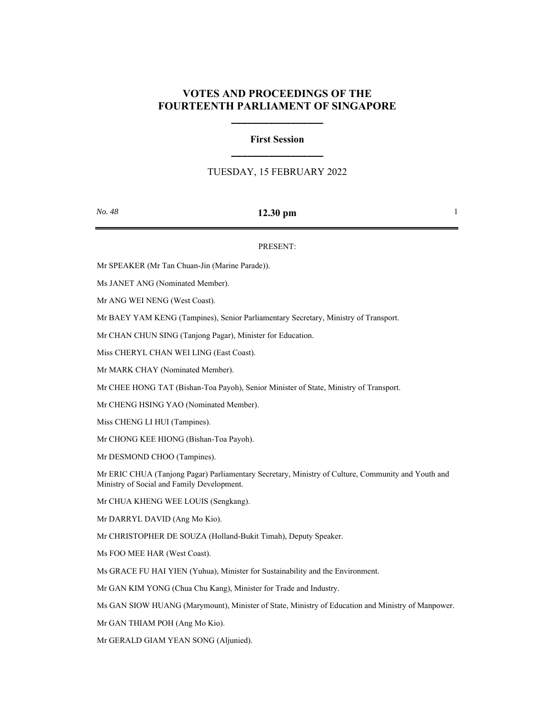# **VOTES AND PROCEEDINGS OF THE FOURTEENTH PARLIAMENT OF SINGAPORE**

**\_\_\_\_\_\_\_\_\_\_\_\_\_\_\_\_\_**

# **First Session \_\_\_\_\_\_\_\_\_\_\_\_\_\_\_\_\_**

## TUESDAY, 15 FEBRUARY 2022

## **12.30 pm** 1

### PRESENT:

Mr SPEAKER (Mr Tan Chuan-Jin (Marine Parade)).

Ms JANET ANG (Nominated Member).

Mr ANG WEI NENG (West Coast).

Mr BAEY YAM KENG (Tampines), Senior Parliamentary Secretary, Ministry of Transport.

Mr CHAN CHUN SING (Tanjong Pagar), Minister for Education.

Miss CHERYL CHAN WEI LING (East Coast).

Mr MARK CHAY (Nominated Member).

Mr CHEE HONG TAT (Bishan-Toa Payoh), Senior Minister of State, Ministry of Transport.

Mr CHENG HSING YAO (Nominated Member).

Miss CHENG LI HUI (Tampines).

Mr CHONG KEE HIONG (Bishan-Toa Payoh).

Mr DESMOND CHOO (Tampines).

Mr ERIC CHUA (Tanjong Pagar) Parliamentary Secretary, Ministry of Culture, Community and Youth and Ministry of Social and Family Development.

Mr CHUA KHENG WEE LOUIS (Sengkang).

Mr DARRYL DAVID (Ang Mo Kio).

Mr CHRISTOPHER DE SOUZA (Holland-Bukit Timah), Deputy Speaker.

Ms FOO MEE HAR (West Coast).

Ms GRACE FU HAI YIEN (Yuhua), Minister for Sustainability and the Environment.

Mr GAN KIM YONG (Chua Chu Kang), Minister for Trade and Industry.

Ms GAN SIOW HUANG (Marymount), Minister of State, Ministry of Education and Ministry of Manpower.

Mr GAN THIAM POH (Ang Mo Kio).

Mr GERALD GIAM YEAN SONG (Aljunied).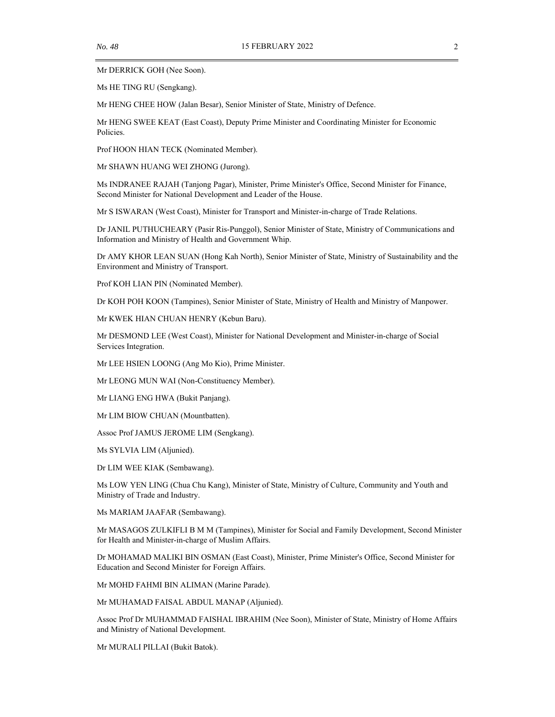Mr DERRICK GOH (Nee Soon).

Ms HE TING RU (Sengkang).

Mr HENG CHEE HOW (Jalan Besar), Senior Minister of State, Ministry of Defence.

Mr HENG SWEE KEAT (East Coast), Deputy Prime Minister and Coordinating Minister for Economic Policies.

Prof HOON HIAN TECK (Nominated Member).

Mr SHAWN HUANG WEI ZHONG (Jurong).

Ms INDRANEE RAJAH (Tanjong Pagar), Minister, Prime Minister's Office, Second Minister for Finance, Second Minister for National Development and Leader of the House.

Mr S ISWARAN (West Coast), Minister for Transport and Minister-in-charge of Trade Relations.

Dr JANIL PUTHUCHEARY (Pasir Ris-Punggol), Senior Minister of State, Ministry of Communications and Information and Ministry of Health and Government Whip.

Dr AMY KHOR LEAN SUAN (Hong Kah North), Senior Minister of State, Ministry of Sustainability and the Environment and Ministry of Transport.

Prof KOH LIAN PIN (Nominated Member).

Dr KOH POH KOON (Tampines), Senior Minister of State, Ministry of Health and Ministry of Manpower.

Mr KWEK HIAN CHUAN HENRY (Kebun Baru).

Mr DESMOND LEE (West Coast), Minister for National Development and Minister-in-charge of Social Services Integration.

Mr LEE HSIEN LOONG (Ang Mo Kio), Prime Minister.

Mr LEONG MUN WAI (Non-Constituency Member).

Mr LIANG ENG HWA (Bukit Panjang).

Mr LIM BIOW CHUAN (Mountbatten).

Assoc Prof JAMUS JEROME LIM (Sengkang).

Ms SYLVIA LIM (Aljunied).

Dr LIM WEE KIAK (Sembawang).

Ms LOW YEN LING (Chua Chu Kang), Minister of State, Ministry of Culture, Community and Youth and Ministry of Trade and Industry.

Ms MARIAM JAAFAR (Sembawang).

Mr MASAGOS ZULKIFLI B M M (Tampines), Minister for Social and Family Development, Second Minister for Health and Minister-in-charge of Muslim Affairs.

Dr MOHAMAD MALIKI BIN OSMAN (East Coast), Minister, Prime Minister's Office, Second Minister for Education and Second Minister for Foreign Affairs.

Mr MOHD FAHMI BIN ALIMAN (Marine Parade).

Mr MUHAMAD FAISAL ABDUL MANAP (Aljunied).

Assoc Prof Dr MUHAMMAD FAISHAL IBRAHIM (Nee Soon), Minister of State, Ministry of Home Affairs and Ministry of National Development.

Mr MURALI PILLAI (Bukit Batok).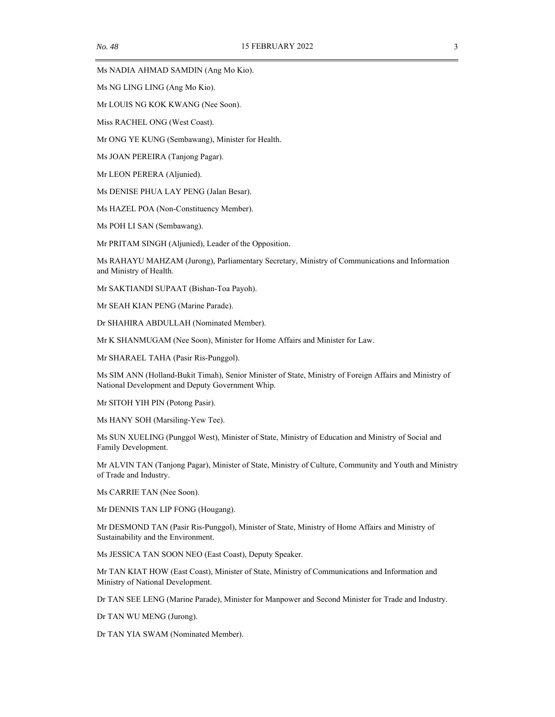Ms NADIA AHMAD SAMDIN (Ang Mo Kio).

Ms NG LING LING (Ang Mo Kio).

Mr LOUIS NG KOK KWANG (Nee Soon).

Miss RACHEL ONG (West Coast).

Mr ONG YE KUNG (Sembawang), Minister for Health.

Ms JOAN PEREIRA (Tanjong Pagar).

Mr LEON PERERA (Aljunied).

Ms DENISE PHUA LAY PENG (Jalan Besar).

Ms HAZEL POA (Non-Constituency Member).

Ms POH LI SAN (Sembawang).

Mr PRITAM SINGH (Aljunied), Leader of the Opposition.

Ms RAHAYU MAHZAM (Jurong), Parliamentary Secretary, Ministry of Communications and Information and Ministry of Health.

Mr SAKTIANDI SUPAAT (Bishan-Toa Payoh).

Mr SEAH KIAN PENG (Marine Parade).

Dr SHAHIRA ABDULLAH (Nominated Member).

Mr K SHANMUGAM (Nee Soon), Minister for Home Affairs and Minister for Law.

Mr SHARAEL TAHA (Pasir Ris-Punggol).

Ms SIM ANN (Holland-Bukit Timah), Senior Minister of State, Ministry of Foreign Affairs and Ministry of National Development and Deputy Government Whip.

Mr SITOH YIH PIN (Potong Pasir).

Ms HANY SOH (Marsiling-Yew Tee).

Ms SUN XUELING (Punggol West), Minister of State, Ministry of Education and Ministry of Social and Family Development.

Mr ALVIN TAN (Tanjong Pagar), Minister of State, Ministry of Culture, Community and Youth and Ministry of Trade and Industry.

Ms CARRIE TAN (Nee Soon).

Mr DENNIS TAN LIP FONG (Hougang).

Mr DESMOND TAN (Pasir Ris-Punggol), Minister of State, Ministry of Home Affairs and Ministry of Sustainability and the Environment.

Ms JESSICA TAN SOON NEO (East Coast), Deputy Speaker.

Mr TAN KIAT HOW (East Coast), Minister of State, Ministry of Communications and Information and Ministry of National Development.

Dr TAN SEE LENG (Marine Parade), Minister for Manpower and Second Minister for Trade and Industry.

Dr TAN WU MENG (Jurong).

Dr TAN YIA SWAM (Nominated Member).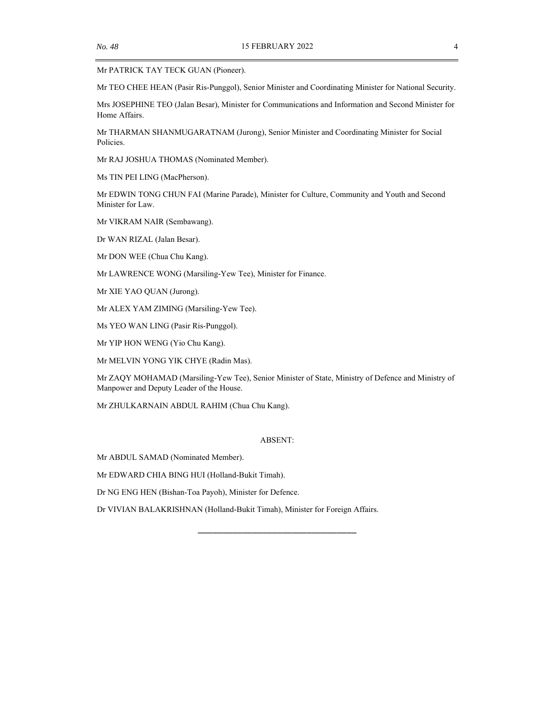Mr PATRICK TAY TECK GUAN (Pioneer).

Mr TEO CHEE HEAN (Pasir Ris-Punggol), Senior Minister and Coordinating Minister for National Security.

Mrs JOSEPHINE TEO (Jalan Besar), Minister for Communications and Information and Second Minister for Home Affairs.

Mr THARMAN SHANMUGARATNAM (Jurong), Senior Minister and Coordinating Minister for Social Policies.

Mr RAJ JOSHUA THOMAS (Nominated Member).

Ms TIN PEI LING (MacPherson).

Mr EDWIN TONG CHUN FAI (Marine Parade), Minister for Culture, Community and Youth and Second Minister for Law.

Mr VIKRAM NAIR (Sembawang).

Dr WAN RIZAL (Jalan Besar).

Mr DON WEE (Chua Chu Kang).

Mr LAWRENCE WONG (Marsiling-Yew Tee), Minister for Finance.

Mr XIE YAO QUAN (Jurong).

Mr ALEX YAM ZIMING (Marsiling-Yew Tee).

Ms YEO WAN LING (Pasir Ris-Punggol).

Mr YIP HON WENG (Yio Chu Kang).

Mr MELVIN YONG YIK CHYE (Radin Mas).

Mr ZAQY MOHAMAD (Marsiling-Yew Tee), Senior Minister of State, Ministry of Defence and Ministry of Manpower and Deputy Leader of the House.

Mr ZHULKARNAIN ABDUL RAHIM (Chua Chu Kang).

#### ABSENT:

\_\_\_\_\_\_\_\_\_\_\_\_\_\_\_\_\_\_\_\_\_\_\_\_\_\_\_\_\_\_\_\_

Mr ABDUL SAMAD (Nominated Member).

Mr EDWARD CHIA BING HUI (Holland-Bukit Timah).

Dr NG ENG HEN (Bishan-Toa Payoh), Minister for Defence.

Dr VIVIAN BALAKRISHNAN (Holland-Bukit Timah), Minister for Foreign Affairs.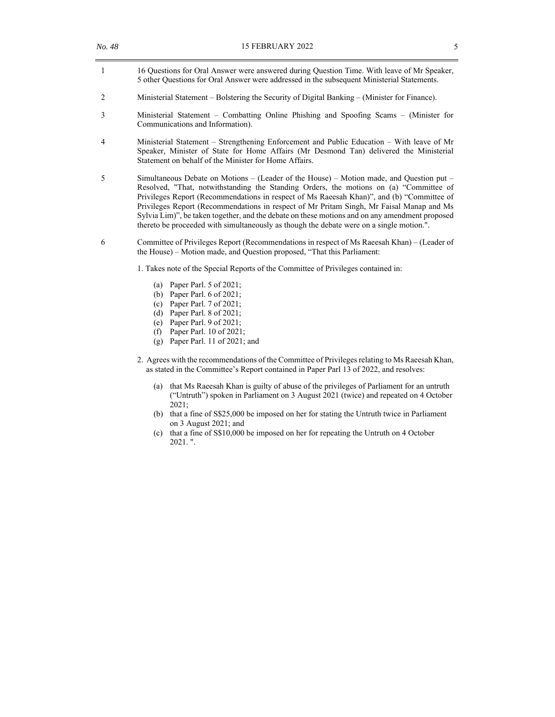- 1 16 Questions for Oral Answer were answered during Question Time. With leave of Mr Speaker, 5 other Questions for Oral Answer were addressed in the subsequent Ministerial Statements.
- 2 Ministerial Statement Bolstering the Security of Digital Banking (Minister for Finance).
- 3 Ministerial Statement Combatting Online Phishing and Spoofing Scams (Minister for Communications and Information).
- 4 Ministerial Statement Strengthening Enforcement and Public Education With leave of Mr Speaker, Minister of State for Home Affairs (Mr Desmond Tan) delivered the Ministerial Statement on behalf of the Minister for Home Affairs.
- 5 Simultaneous Debate on Motions (Leader of the House) Motion made, and Question put Resolved, "That, notwithstanding the Standing Orders, the motions on (a) "Committee of Privileges Report (Recommendations in respect of Ms Raeesah Khan)", and (b) "Committee of Privileges Report (Recommendations in respect of Mr Pritam Singh, Mr Faisal Manap and Ms Sylvia Lim)", be taken together, and the debate on these motions and on any amendment proposed thereto be proceeded with simultaneously as though the debate were on a single motion.".
- 6 Committee of Privileges Report (Recommendations in respect of Ms Raeesah Khan) (Leader of the House) – Motion made, and Question proposed, "That this Parliament:

1. Takes note of the Special Reports of the Committee of Privileges contained in:

- (a) Paper Parl. 5 of 2021;
- (b) Paper Parl. 6 of 2021;
- (c) Paper Parl. 7 of 2021;
- (d) Paper Parl. 8 of 2021;
- (e) Paper Parl. 9 of 2021;
- (f) Paper Parl. 10 of 2021;
- (g) Paper Parl. 11 of 2021; and
- 2. Agrees with the recommendations of the Committee of Privileges relating to Ms Raeesah Khan, as stated in the Committee's Report contained in Paper Parl 13 of 2022, and resolves:
	- (a) that Ms Raeesah Khan is guilty of abuse of the privileges of Parliament for an untruth ("Untruth") spoken in Parliament on 3 August 2021 (twice) and repeated on 4 October 2021;
	- (b) that a fine of S\$25,000 be imposed on her for stating the Untruth twice in Parliament on 3 August 2021; and
	- (c) that a fine of S\$10,000 be imposed on her for repeating the Untruth on 4 October 2021. ".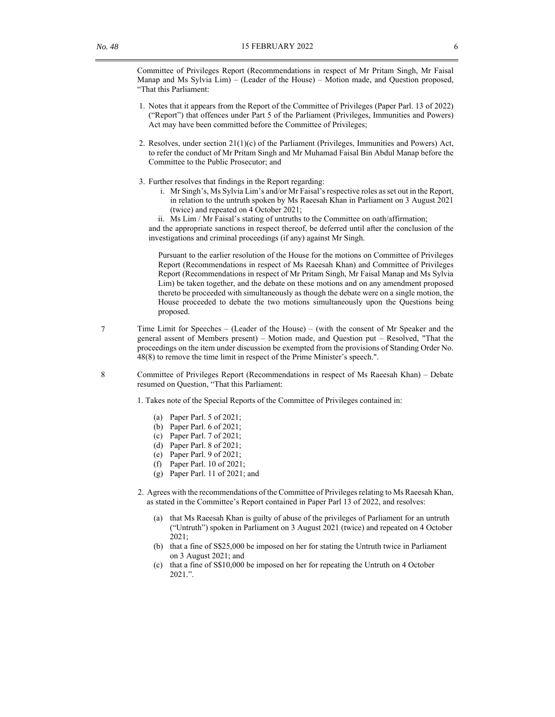Committee of Privileges Report (Recommendations in respect of Mr Pritam Singh, Mr Faisal Manap and Ms Sylvia Lim) – (Leader of the House) – Motion made, and Question proposed, "That this Parliament:

- 1. Notes that it appears from the Report of the Committee of Privileges (Paper Parl. 13 of 2022) ("Report") that offences under Part 5 of the Parliament (Privileges, Immunities and Powers) Act may have been committed before the Committee of Privileges;
- 2. Resolves, under section  $21(1)(c)$  of the Parliament (Privileges, Immunities and Powers) Act, to refer the conduct of Mr Pritam Singh and Mr Muhamad Faisal Bin Abdul Manap before the Committee to the Public Prosecutor; and
- 3. Further resolves that findings in the Report regarding:
	- i. Mr Singh's, Ms Sylvia Lim's and/or Mr Faisal's respective roles as set out in the Report, in relation to the untruth spoken by Ms Raeesah Khan in Parliament on 3 August 2021 (twice) and repeated on 4 October 2021;
	- ii. Ms Lim / Mr Faisal's stating of untruths to the Committee on oath/affirmation;

and the appropriate sanctions in respect thereof, be deferred until after the conclusion of the investigations and criminal proceedings (if any) against Mr Singh.

Pursuant to the earlier resolution of the House for the motions on Committee of Privileges Report (Recommendations in respect of Ms Raeesah Khan) and Committee of Privileges Report (Recommendations in respect of Mr Pritam Singh, Mr Faisal Manap and Ms Sylvia Lim) be taken together, and the debate on these motions and on any amendment proposed thereto be proceeded with simultaneously as though the debate were on a single motion, the House proceeded to debate the two motions simultaneously upon the Questions being proposed.

- 7 Time Limit for Speeches (Leader of the House) (with the consent of Mr Speaker and the general assent of Members present) – Motion made, and Question put – Resolved, "That the proceedings on the item under discussion be exempted from the provisions of Standing Order No. 48(8) to remove the time limit in respect of the Prime Minister's speech.".
- 8 Committee of Privileges Report (Recommendations in respect of Ms Raeesah Khan) Debate resumed on Question, "That this Parliament:

1. Takes note of the Special Reports of the Committee of Privileges contained in:

- (a) Paper Parl. 5 of 2021;
- (b) Paper Parl. 6 of 2021;
- (c) Paper Parl. 7 of 2021;
- (d) Paper Parl. 8 of 2021;
- (e) Paper Parl. 9 of 2021;
- (f) Paper Parl. 10 of 2021;
- (g) Paper Parl. 11 of 2021; and
- 2. Agrees with the recommendations of the Committee of Privileges relating to Ms Raeesah Khan, as stated in the Committee's Report contained in Paper Parl 13 of 2022, and resolves:
	- (a) that Ms Raeesah Khan is guilty of abuse of the privileges of Parliament for an untruth ("Untruth") spoken in Parliament on 3 August 2021 (twice) and repeated on 4 October 2021;
	- (b) that a fine of S\$25,000 be imposed on her for stating the Untruth twice in Parliament on 3 August 2021; and
	- (c) that a fine of S\$10,000 be imposed on her for repeating the Untruth on 4 October 2021.".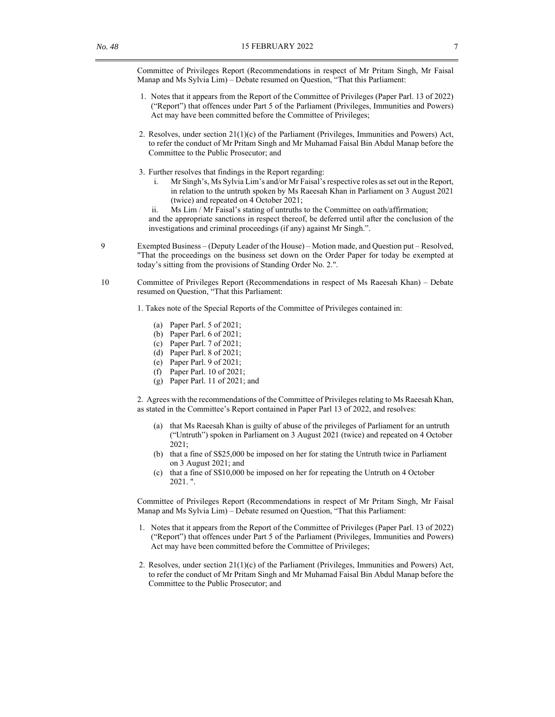Committee of Privileges Report (Recommendations in respect of Mr Pritam Singh, Mr Faisal Manap and Ms Sylvia Lim) – Debate resumed on Question, "That this Parliament:

- 1. Notes that it appears from the Report of the Committee of Privileges (Paper Parl. 13 of 2022) ("Report") that offences under Part 5 of the Parliament (Privileges, Immunities and Powers) Act may have been committed before the Committee of Privileges;
- 2. Resolves, under section  $21(1)(c)$  of the Parliament (Privileges, Immunities and Powers) Act, to refer the conduct of Mr Pritam Singh and Mr Muhamad Faisal Bin Abdul Manap before the Committee to the Public Prosecutor; and
- 3. Further resolves that findings in the Report regarding:
	- i. Mr Singh's, Ms Sylvia Lim's and/or Mr Faisal's respective roles as set out in the Report, in relation to the untruth spoken by Ms Raeesah Khan in Parliament on 3 August 2021 (twice) and repeated on 4 October 2021;
	- ii. Ms Lim / Mr Faisal's stating of untruths to the Committee on oath/affirmation;

and the appropriate sanctions in respect thereof, be deferred until after the conclusion of the investigations and criminal proceedings (if any) against Mr Singh.".

9 Exempted Business – (Deputy Leader of the House) – Motion made, and Question put – Resolved, "That the proceedings on the business set down on the Order Paper for today be exempted at today's sitting from the provisions of Standing Order No. 2.".

10 Committee of Privileges Report (Recommendations in respect of Ms Raeesah Khan) – Debate resumed on Question, "That this Parliament:

1. Takes note of the Special Reports of the Committee of Privileges contained in:

- (a) Paper Parl. 5 of 2021;
- (b) Paper Parl. 6 of 2021;
- (c) Paper Parl. 7 of 2021;
- (d) Paper Parl. 8 of 2021;
- (e) Paper Parl. 9 of 2021;
- (f) Paper Parl. 10 of 2021;
- (g) Paper Parl. 11 of 2021; and

2. Agrees with the recommendations of the Committee of Privileges relating to Ms Raeesah Khan, as stated in the Committee's Report contained in Paper Parl 13 of 2022, and resolves:

- (a) that Ms Raeesah Khan is guilty of abuse of the privileges of Parliament for an untruth ("Untruth") spoken in Parliament on 3 August 2021 (twice) and repeated on 4 October 2021;
- (b) that a fine of S\$25,000 be imposed on her for stating the Untruth twice in Parliament on 3 August 2021; and
- (c) that a fine of S\$10,000 be imposed on her for repeating the Untruth on 4 October 2021. ".

Committee of Privileges Report (Recommendations in respect of Mr Pritam Singh, Mr Faisal Manap and Ms Sylvia Lim) – Debate resumed on Question, "That this Parliament:

- 1. Notes that it appears from the Report of the Committee of Privileges (Paper Parl. 13 of 2022) ("Report") that offences under Part 5 of the Parliament (Privileges, Immunities and Powers) Act may have been committed before the Committee of Privileges;
- 2. Resolves, under section 21(1)(c) of the Parliament (Privileges, Immunities and Powers) Act, to refer the conduct of Mr Pritam Singh and Mr Muhamad Faisal Bin Abdul Manap before the Committee to the Public Prosecutor; and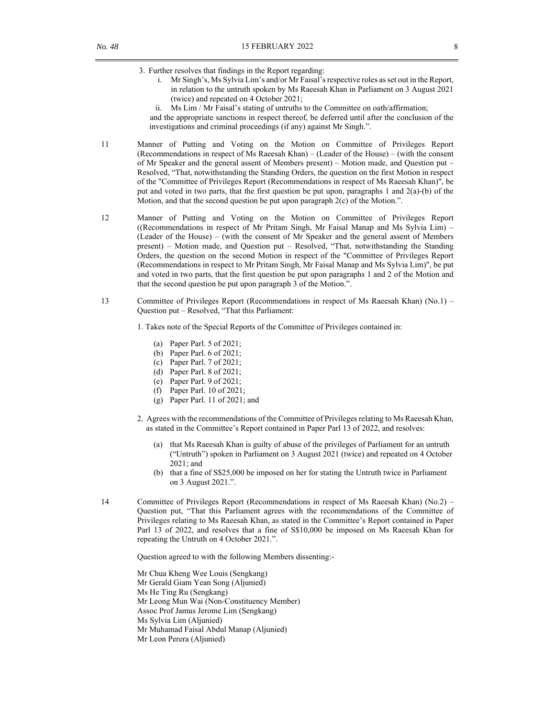- 3. Further resolves that findings in the Report regarding:
	- i. Mr Singh's, Ms Sylvia Lim's and/or Mr Faisal's respective roles as set out in the Report, in relation to the untruth spoken by Ms Raeesah Khan in Parliament on 3 August 2021 (twice) and repeated on 4 October 2021;
	- ii. Ms Lim / Mr Faisal's stating of untruths to the Committee on oath/affirmation;

and the appropriate sanctions in respect thereof, be deferred until after the conclusion of the investigations and criminal proceedings (if any) against Mr Singh.".

- 11 Manner of Putting and Voting on the Motion on Committee of Privileges Report (Recommendations in respect of Ms Raeesah Khan) – (Leader of the House) – (with the consent of Mr Speaker and the general assent of Members present) – Motion made, and Question put – Resolved, "That, notwithstanding the Standing Orders, the question on the first Motion in respect of the "Committee of Privileges Report (Recommendations in respect of Ms Raeesah Khan)", be put and voted in two parts, that the first question be put upon, paragraphs 1 and  $2(a)$ -(b) of the Motion, and that the second question be put upon paragraph 2(c) of the Motion.".
- 12 Manner of Putting and Voting on the Motion on Committee of Privileges Report ((Recommendations in respect of Mr Pritam Singh, Mr Faisal Manap and Ms Sylvia Lim) – (Leader of the House) – (with the consent of Mr Speaker and the general assent of Members present) – Motion made, and Question put – Resolved, "That, notwithstanding the Standing Orders, the question on the second Motion in respect of the "Committee of Privileges Report (Recommendations in respect to Mr Pritam Singh, Mr Faisal Manap and Ms Sylvia Lim)", be put and voted in two parts, that the first question be put upon paragraphs 1 and 2 of the Motion and that the second question be put upon paragraph 3 of the Motion.".
- 13 Committee of Privileges Report (Recommendations in respect of Ms Raeesah Khan) (No.1) Question put – Resolved, "That this Parliament:
	- 1. Takes note of the Special Reports of the Committee of Privileges contained in:
		- (a) Paper Parl. 5 of 2021;
		- (b) Paper Parl. 6 of 2021;
		- (c) Paper Parl. 7 of 2021;
		- (d) Paper Parl. 8 of 2021;
		- (e) Paper Parl. 9 of 2021;
		- (f) Paper Parl. 10 of 2021;
		- (g) Paper Parl. 11 of 2021; and
	- 2. Agrees with the recommendations of the Committee of Privileges relating to Ms Raeesah Khan, as stated in the Committee's Report contained in Paper Parl 13 of 2022, and resolves:
		- (a) that Ms Raeesah Khan is guilty of abuse of the privileges of Parliament for an untruth ("Untruth") spoken in Parliament on 3 August 2021 (twice) and repeated on 4 October 2021; and
		- (b) that a fine of S\$25,000 be imposed on her for stating the Untruth twice in Parliament on 3 August 2021.".
- 14 Committee of Privileges Report (Recommendations in respect of Ms Raeesah Khan) (No.2) Question put, "That this Parliament agrees with the recommendations of the Committee of Privileges relating to Ms Raeesah Khan, as stated in the Committee's Report contained in Paper Parl 13 of 2022, and resolves that a fine of S\$10,000 be imposed on Ms Raeesah Khan for repeating the Untruth on 4 October 2021.".

Question agreed to with the following Members dissenting:-

Mr Chua Kheng Wee Louis (Sengkang) Mr Gerald Giam Yean Song (Aljunied) Ms He Ting Ru (Sengkang) Mr Leong Mun Wai (Non-Constituency Member) Assoc Prof Jamus Jerome Lim (Sengkang) Ms Sylvia Lim (Aljunied) Mr Muhamad Faisal Abdul Manap (Aljunied) Mr Leon Perera (Aljunied)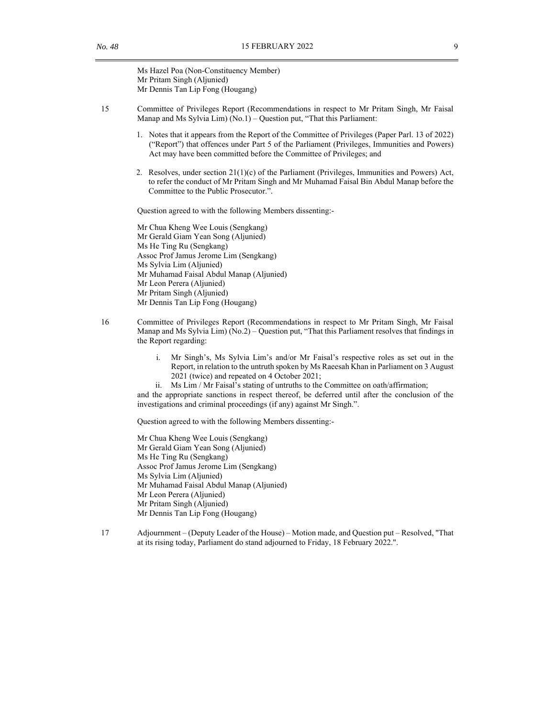Ms Hazel Poa (Non-Constituency Member) Mr Pritam Singh (Aljunied) Mr Dennis Tan Lip Fong (Hougang)

- 15 Committee of Privileges Report (Recommendations in respect to Mr Pritam Singh, Mr Faisal Manap and Ms Sylvia Lim) (No.1) – Question put, "That this Parliament:
	- 1. Notes that it appears from the Report of the Committee of Privileges (Paper Parl. 13 of 2022) ("Report") that offences under Part 5 of the Parliament (Privileges, Immunities and Powers) Act may have been committed before the Committee of Privileges; and
	- 2. Resolves, under section  $21(1)(c)$  of the Parliament (Privileges, Immunities and Powers) Act, to refer the conduct of Mr Pritam Singh and Mr Muhamad Faisal Bin Abdul Manap before the Committee to the Public Prosecutor.".

Question agreed to with the following Members dissenting:-

Mr Chua Kheng Wee Louis (Sengkang) Mr Gerald Giam Yean Song (Aljunied) Ms He Ting Ru (Sengkang) Assoc Prof Jamus Jerome Lim (Sengkang) Ms Sylvia Lim (Aljunied) Mr Muhamad Faisal Abdul Manap (Aljunied) Mr Leon Perera (Aljunied) Mr Pritam Singh (Aljunied) Mr Dennis Tan Lip Fong (Hougang)

- 16 Committee of Privileges Report (Recommendations in respect to Mr Pritam Singh, Mr Faisal Manap and Ms Sylvia Lim) (No.2) – Question put, "That this Parliament resolves that findings in the Report regarding:
	- i. Mr Singh's, Ms Sylvia Lim's and/or Mr Faisal's respective roles as set out in the Report, in relation to the untruth spoken by Ms Raeesah Khan in Parliament on 3 August 2021 (twice) and repeated on 4 October 2021;
	- ii. Ms Lim / Mr Faisal's stating of untruths to the Committee on oath/affirmation;

and the appropriate sanctions in respect thereof, be deferred until after the conclusion of the investigations and criminal proceedings (if any) against Mr Singh.".

Question agreed to with the following Members dissenting:-

Mr Chua Kheng Wee Louis (Sengkang) Mr Gerald Giam Yean Song (Aljunied) Ms He Ting Ru (Sengkang) Assoc Prof Jamus Jerome Lim (Sengkang) Ms Sylvia Lim (Aljunied) Mr Muhamad Faisal Abdul Manap (Aljunied) Mr Leon Perera (Aljunied) Mr Pritam Singh (Aljunied) Mr Dennis Tan Lip Fong (Hougang)

17 Adjournment – (Deputy Leader of the House) – Motion made, and Question put – Resolved, "That at its rising today, Parliament do stand adjourned to Friday, 18 February 2022.".